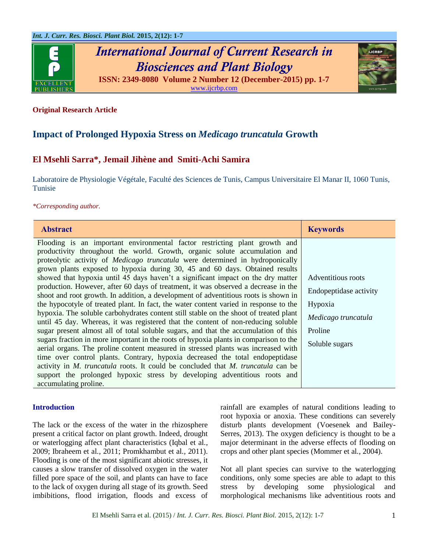

# *International Journal of Current Research in Biosciences and Plant Biology* **ISSN: 2349-8080 Volume 2 Number 12 (December-2015) pp. 1-7**



[www.ijcrbp.com](http://www.ijcrbp.com/)

# **Original Research Article**

# **Impact of Prolonged Hypoxia Stress on** *Medicago truncatula* **Growth**

# **El Msehli Sarra\*, Jemail Jihène and Smiti-Achi Samira**

Laboratoire de Physiologie Végétale, Faculté des Sciences de Tunis, Campus Universitaire El Manar II, 1060 Tunis, Tunisie

*\*Corresponding author.*

| <b>Abstract</b>                                                                                                                                                                                                                                             | <b>Keywords</b>        |
|-------------------------------------------------------------------------------------------------------------------------------------------------------------------------------------------------------------------------------------------------------------|------------------------|
| Flooding is an important environmental factor restricting plant growth and<br>productivity throughout the world. Growth, organic solute accumulation and                                                                                                    |                        |
| proteolytic activity of <i>Medicago truncatula</i> were determined in hydroponically                                                                                                                                                                        |                        |
| grown plants exposed to hypoxia during 30, 45 and 60 days. Obtained results                                                                                                                                                                                 |                        |
| showed that hypoxia until 45 days haven't a significant impact on the dry matter                                                                                                                                                                            | Adventitious roots     |
| production. However, after 60 days of treatment, it was observed a decrease in the<br>shoot and root growth. In addition, a development of adventitious roots is shown in                                                                                   | Endopeptidase activity |
| the hypocotyle of treated plant. In fact, the water content varied in response to the                                                                                                                                                                       | Hypoxia                |
| hypoxia. The soluble carbohydrates content still stable on the shoot of treated plant<br>until 45 day. Whereas, it was registered that the content of non-reducing soluble                                                                                  | Medicago truncatula    |
| sugar present almost all of total soluble sugars, and that the accumulation of this                                                                                                                                                                         | Proline                |
| sugars fraction in more important in the roots of hypoxia plants in comparison to the<br>aerial organs. The proline content measured in stressed plants was increased with<br>time over control plants. Contrary, hypoxia decreased the total endopeptidase | Soluble sugars         |
| activity in M. truncatula roots. It could be concluded that M. truncatula can be                                                                                                                                                                            |                        |
| support the prolonged hypoxic stress by developing adventitious roots and<br>accumulating proline.                                                                                                                                                          |                        |

#### **Introduction**

The lack or the excess of the water in the rhizosphere present a critical factor on plant growth. Indeed, drought or waterlogging affect plant characteristics (Iqbal et al*.*, 2009; Ibraheem et al*.*, 2011; Promkhambut et al*.*, 2011). Flooding is one of the most significant abiotic stresses, it causes a slow transfer of dissolved oxygen in the water filled pore space of the soil, and plants can have to face to the lack of oxygen during all stage of its growth. Seed imbibitions, flood irrigation, floods and excess of rainfall are examples of natural conditions leading to root hypoxia or anoxia. These conditions can severely disturb plants development (Voesenek and Bailey-Serres, 2013). The oxygen deficiency is thought to be a major determinant in the adverse effects of flooding on crops and other plant species (Mommer et al*.*, 2004).

Not all plant species can survive to the waterlogging conditions, only some species are able to adapt to this stress by developing some physiological and morphological mechanisms like adventitious roots and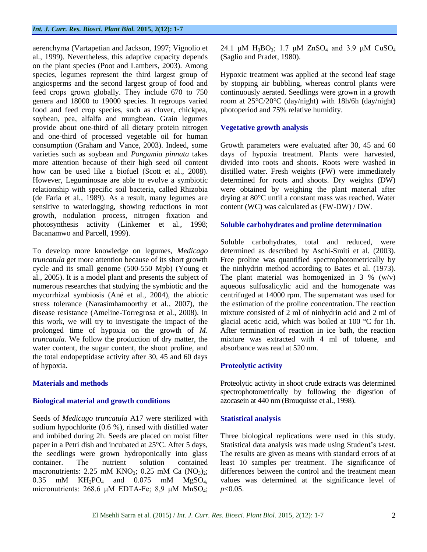aerenchyma (Vartapetian and Jackson, 1997; Vignolio et al*.*, 1999). Nevertheless, this adaptive capacity depends on the plant species (Poot and Lambers, 2003). Among species, legumes represent the third largest group of angiosperms and the second largest group of food and feed crops grown globally. They include 670 to 750 genera and 18000 to 19000 species. It regroups varied food and feed crop species, such as clover, chickpea, soybean, pea, alfalfa and mungbean. Grain legumes provide about one-third of all dietary protein nitrogen and one-third of processed vegetable oil for human consumption (Graham and Vance, 2003). Indeed, some varieties such as soybean and *Pongamia pinnata* takes more attention because of their high seed oil content how can be used like a biofuel (Scott et al., 2008). However, Leguminosae are able to evolve a symbiotic relationship with specific soil bacteria, called Rhizobia (de Faria et al*.*, 1989). As a result, many legumes are sensitive to waterlogging, showing reductions in root growth, nodulation process, nitrogen fixation and photosynthesis activity (Linkemer et al*.*, 1998; Bacanamwo and Parcell, 1999).

To develop more knowledge on legumes, *Medicago truncatula* get more attention because of its short growth cycle and its small genome (500-550 Mpb) (Young et al*.*, 2005). It is a model plant and presents the subject of numerous researches that studying the symbiotic and the mycorrhizal symbiosis (Ané et al*.*, 2004), the abiotic stress tolerance (Narasimhamoorthy et al*.*, 2007), the disease resistance (Ameline-Torregrosa et al*.*, 2008). In this work, we will try to investigate the impact of the prolonged time of hypoxia on the growth of *M. truncatula*. We follow the production of dry matter, the water content, the sugar content, the shoot proline, and the total endopeptidase activity after 30, 45 and 60 days of hypoxia.

# **Materials and methods**

# **Biological material and growth conditions**

Seeds of *Medicago truncatula* A17 were sterilized with sodium hypochlorite (0.6 %), rinsed with distilled water and imbibed during 2h. Seeds are placed on moist filter paper in a Petri dish and incubated at 25°C. After 5 days, the seedlings were grown hydroponically into glass container. The nutrient solution contained macronutrients: 2.25 mM KNO<sub>3</sub>; 0.25 mM Ca  $(NO<sub>3</sub>)<sub>2</sub>$ ;  $0.35$  mM KH<sub>2</sub>PO<sub>4</sub> and  $0.075$  mM MgSO<sub>4</sub>, micronutrients: 268.6 μM EDTA-Fe; 8,9 μM MnSO<sub>4</sub>;

24.1 μM  $H_3BO_3$ ; 1.7 μM  $ZnSO_4$  and 3.9 μM  $CuSO_4$ (Saglio and Pradet, 1980).

Hypoxic treatment was applied at the second leaf stage by stopping air bubbling, whereas control plants were continuously aerated. Seedlings were grown in a growth room at 25°C/20°C (day/night) with 18h/6h (day/night) photoperiod and 75% relative humidity.

## **Vegetative growth analysis**

Growth parameters were evaluated after 30, 45 and 60 days of hypoxia treatment. Plants were harvested, divided into roots and shoots. Roots were washed in distilled water. Fresh weights (FW) were immediately determined for roots and shoots. Dry weights (DW) were obtained by weighing the plant material after drying at 80°C until a constant mass was reached. Water content (WC) was calculated as (FW-DW) / DW.

#### **Soluble carbohydrates and proline determination**

Soluble carbohydrates, total and reduced, were determined as described by Aschi-Smiti et al*.* (2003). Free proline was quantified spectrophotometrically by the ninhydrin method according to Bates et al*.* (1973). The plant material was homogenized in  $3\%$  (w/v) aqueous sulfosalicylic acid and the homogenate was centrifuged at 14000 rpm. The supernatant was used for the estimation of the proline concentration. The reaction mixture consisted of 2 ml of ninhydrin acid and 2 ml of glacial acetic acid, which was boiled at 100 °C for 1h. After termination of reaction in ice bath, the reaction mixture was extracted with 4 ml of toluene, and absorbance was read at 520 nm.

# **Proteolytic activity**

Proteolytic activity in shoot crude extracts was determined spectrophotometrically by following the digestion of azocasein at 440 nm (Brouquisse et al*.*, 1998).

#### **Statistical analysis**

Three biological replications were used in this study. Statistical data analysis was made using Student's t-test. The results are given as means with standard errors of at least 10 samples per treatment. The significance of differences between the control and the treatment mean values was determined at the significance level of *p*<0.05.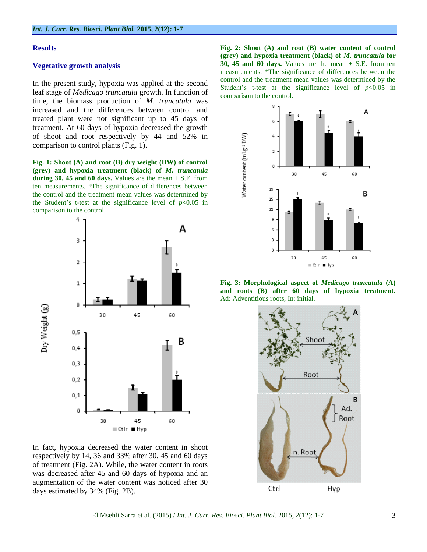#### **Results**

#### **Vegetative growth analysis**

In the present study, hypoxia was applied at the second leaf stage of *Medicago truncatula* growth. In function of time, the biomass production of *M. truncatula* was increased and the differences between control and treated plant were not significant up to 45 days of treatment. At 60 days of hypoxia decreased the growth of shoot and root respectively by 44 and 52% in comparison to control plants (Fig. 1).

**Fig. 1: Shoot (A) and root (B) dry weight (DW) of control (grey) and hypoxia treatment (black) of** *M. truncatula* during 30, 45 and 60 days. Values are the mean  $\pm$  S.E. from ten measurements. \*The significance of differences between the control and the treatment mean values was determined by the Student's t-test at the significance level of  $p<0.05$  in comparison to the control.



In fact, hypoxia decreased the water content in shoot respectively by 14, 36 and 33% after 30, 45 and 60 days of treatment (Fig. 2A). While, the water content in roots was decreased after 45 and 60 days of hypoxia and an augmentation of the water content was noticed after 30 days estimated by 34% (Fig. 2B).

**Fig. 2: Shoot (A) and root (B) water content of control (grey) and hypoxia treatment (black) of** *M. truncatula* **for 30, 45 and 60 days.** Values are the mean  $\pm$  S.E. from ten measurements. \*The significance of differences between the control and the treatment mean values was determined by the Student's t-test at the significance level of  $p < 0.05$  in comparison to the control.



**Fig. 3: Morphological aspect of** *Medicago truncatula* **(A) and roots (B) after 60 days of hypoxia treatment.**  Ad: Adventitious roots, In: initial.

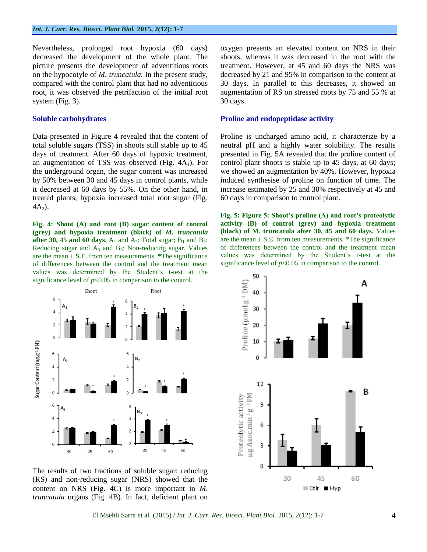Nevertheless, prolonged root hypoxia (60 days) decreased the development of the whole plant. The picture presents the development of adventitious roots on the hypocotyle of *M. truncatula.* In the present study, compared with the control plant that had no adventitious root, it was observed the petrifaction of the initial root system (Fig. 3).

## **Soluble carbohydrates**

Data presented in Figure 4 revealed that the content of total soluble sugars (TSS) in shoots still stable up to 45 days of treatment. After 60 days of hypoxic treatment, an augmentation of TSS was observed (Fig.  $4A_1$ ). For the underground organ, the sugar content was increased by 50% between 30 and 45 days in control plants, while it decreased at 60 days by 55%. On the other hand, in treated plants, hypoxia increased total root sugar (Fig.  $4A<sub>2</sub>$ ).

**Fig. 4: Shoot (A) and root (B) sugar content of control (grey) and hypoxia treatment (black) of** *M. truncatula* **after 30, 45 and 60 days.**  $A_1$  and  $A_2$ : Total sugar;  $B_1$  and  $B_2$ : Reducing sugar and  $A_3$  and  $B_3$ : Non-reducing sugar. Values are the mean  $\pm$  S.E. from ten measurements. \*The significance of differences between the control and the treatment mean values was determined by the Student's t-test at the significance level of  $p<0.05$  in comparison to the control.



The results of two fractions of soluble sugar: reducing (RS) and non-reducing sugar (NRS) showed that the content on NRS (Fig. 4C) is more important in *M. truncatula* organs (Fig. 4B). In fact, deficient plant on

oxygen presents an elevated content on NRS in their shoots, whereas it was decreased in the root with the treatment. However, at 45 and 60 days the NRS was decreased by 21 and 95% in comparison to the content at 30 days. In parallel to this decreases, it showed an augmentation of RS on stressed roots by 75 and 55 % at 30 days.

#### **Proline and endopeptidase activity**

Proline is uncharged amino acid, it characterize by a neutral pH and a highly water solubility. The results presented in Fig. 5A revealed that the proline content of control plant shoots is stable up to 45 days, at 60 days; we showed an augmentation by 40%. However, hypoxia induced synthesise of proline on function of time. The increase estimated by 25 and 30% respectively at 45 and 60 days in comparison to control plant.

**Fig. 5: Figure 5: Shoot's proline (A) and root's proteolytic activity (B) of control (grey) and hypoxia treatment (black) of M. truncatula after 30, 45 and 60 days.** Values are the mean  $\pm$  S.E. from ten measurements. \*The significance of differences between the control and the treatment mean values was determined by the Student's t-test at the significance level of  $p<0.05$  in comparison to the control.

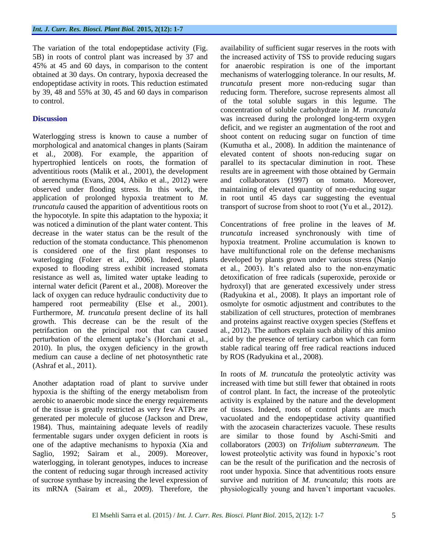The variation of the total endopeptidase activity (Fig. 5B) in roots of control plant was increased by 37 and 45% at 45 and 60 days, in comparison to the content obtained at 30 days. On contrary, hypoxia decreased the endopeptidase activity in roots. This reduction estimated by 39, 48 and 55% at 30, 45 and 60 days in comparison to control.

# **Discussion**

Waterlogging stress is known to cause a number of morphological and anatomical changes in plants (Sairam et al*.*, 2008). For example, the apparition of hypertrophied lenticels on roots, the formation of adventitious roots (Malik et al*.*, 2001), the development of aerenchyma (Evans, 2004, Abiko et al*.*, 2012) were observed under flooding stress. In this work, the application of prolonged hypoxia treatment to *M. truncatula* caused the apparition of adventitious roots on the hypocotyle. In spite this adaptation to the hypoxia; it was noticed a diminution of the plant water content. This decrease in the water status can be the result of the reduction of the stomata conductance. This phenomenon is considered one of the first plant responses to waterlogging (Folzer et al*.*, 2006). Indeed, plants exposed to flooding stress exhibit increased stomata resistance as well as, limited water uptake leading to internal water deficit (Parent et al*.*, 2008). Moreover the lack of oxygen can reduce hydraulic conductivity due to hampered root permeability (Else et al*.*, 2001). Furthermore, *M. truncatula* present decline of its hall growth. This decrease can be the result of the petrifaction on the principal root that can caused perturbation of the element uptake's (Horchani et al*.*, 2010). In plus, the oxygen deficiency in the growth medium can cause a decline of net photosynthetic rate (Ashraf et al*.*, 2011).

Another adaptation road of plant to survive under hypoxia is the shifting of the energy metabolism from aerobic to anaerobic mode since the energy requirements of the tissue is greatly restricted as very few ATPs are generated per molecule of glucose (Jackson and Drew, 1984). Thus, maintaining adequate levels of readily fermentable sugars under oxygen deficient in roots is one of the adaptive mechanisms to hypoxia (Xia and Saglio, 1992; Sairam et al*.*, 2009). Moreover, waterlogging, in tolerant genotypes, induces to increase the content of reducing sugar through increased activity of sucrose synthase by increasing the level expression of its mRNA (Sairam et al*.*, 2009). Therefore, the

availability of sufficient sugar reserves in the roots with the increased activity of TSS to provide reducing sugars for anaerobic respiration is one of the important mechanisms of waterlogging tolerance. In our results, *M. truncatula* present more non-reducing sugar than reducing form. Therefore, sucrose represents almost all of the total soluble sugars in this legume. The concentration of soluble carbohydrate in *M. truncatula* was increased during the prolonged long-term oxygen deficit, and we register an augmentation of the root and shoot content on reducing sugar on function of time (Kumutha et al*.*, 2008). In addition the maintenance of elevated content of shoots non-reducing sugar on parallel to its spectacular diminution in root. These results are in agreement with those obtained by Germain and collaborators (1997) on tomato. Moreover, maintaining of elevated quantity of non-reducing sugar in root until 45 days car suggesting the eventual transport of sucrose from shoot to root (Yu et al*.*, 2012).

Concentrations of free proline in the leaves of *M. truncatula* increased synchronously with time of hypoxia treatment. Proline accumulation is known to have multifunctional role on the defense mechanisms developed by plants grown under various stress (Nanjo et al*.*, 2003). It's related also to the non-enzymatic detoxification of free radicals (superoxide, peroxide or hydroxyl) that are generated excessively under stress (Radyukina et al*.*, 2008). It plays an important role of osmolyte for osmotic adjustment and contributes to the stabilization of cell structures, protection of membranes and proteins against reactive oxygen species (Steffens et al*.*, 2012). The authors explain such ability of this amino acid by the presence of tertiary carbon which can form stable radical tearing off free radical reactions induced by ROS (Radyukina et al*.*, 2008).

In roots of *M. truncatula* the proteolytic activity was increased with time but still fewer that obtained in roots of control plant. In fact, the increase of the proteolytic activity is explained by the nature and the development of tissues. Indeed, roots of control plants are much vacuolated and the endopeptidase activity quantified with the azocasein characterizes vacuole. These results are similar to those found by Aschi-Smiti and collaborators (2003) on *Trifolium subterraneum.* The lowest proteolytic activity was found in hypoxic's root can be the result of the purification and the necrosis of root under hypoxia. Since that adventitious roots ensure survive and nutrition of *M. truncatula*; this roots are physiologically young and haven't important vacuoles.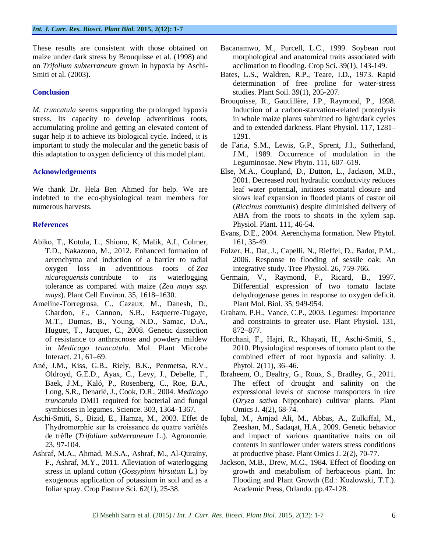These results are consistent with those obtained on maize under dark stress by Brouquisse et al*.* (1998) and on *Trifolium subterraneum* grown in hypoxia by Aschi-Smiti et al*.* (2003).

# **Conclusion**

*M. truncatula* seems supporting the prolonged hypoxia stress. Its capacity to develop adventitious roots, accumulating proline and getting an elevated content of sugar help it to achieve its biological cycle. Indeed, it is important to study the molecular and the genetic basis of this adaptation to oxygen deficiency of this model plant.

### **Acknowledgements**

We thank Dr. Hela Ben Ahmed for help. We are indebted to the eco-physiological team members for numerous harvests.

# **References**

- Abiko, T., Kotula, L., Shiono, K, Malik, A.I., Colmer, T.D., Nakazono, M., 2012. Enhanced formation of aerenchyma and induction of a barrier to radial oxygen loss in adventitious roots of *Zea nicaraguensis* contribute to its waterlogging tolerance as compared with maize (*Zea mays ssp. mays*). Plant Cell Environ. 35, 1618–1630.
- Ameline-Torregrosa, C., Cazaux, M., Danesh, D., Chardon, F., Cannon, S.B., Esquerre-Tugaye, M.T., Dumas, B., Young, N.D., Samac, D.A., Huguet, T., Jacquet, C., 2008. Genetic dissection of resistance to anthracnose and powdery mildew in *Medicago truncatula.* Mol. Plant Microbe Interact. 21, 61–69.
- Ané, J.M., Kiss, G.B., Riely, B.K., Penmetsa, R.V., Oldroyd, G.E.D., Ayax, C., Levy, J., Debelle, F., Baek, J.M., Kaló, P., Rosenberg, C., Roe, B.A., Long, S.R., Denarié, J., Cook, D.R., 2004. *Medicago truncatula* DMI1 required for bacterial and fungal symbioses in legumes. Science. 303, 1364–1367.
- Aschi-Smiti, S., Bizid, E., Hamza, M., 2003. Effet de l'hydromorphie sur la croissance de quatre variétés de trèfle (*Trifolium subterraneum* L.). Agronomie. 23, 97-104.
- Ashraf, M.A., Ahmad, M.S.A., Ashraf, M., Al-Qurainy, F., Ashraf, M.Y., 2011. Alleviation of waterlogging stress in upland cotton (*Gossypium hirsutum* L.) by exogenous application of potassium in soil and as a foliar spray. Crop Pasture Sci. 62(1), 25-38.
- Bacanamwo, M., Purcell, L.C., 1999. Soybean root morphological and anatomical traits associated with acclimation to flooding. Crop Sci. 39(1), 143-149.
- Bates, L.S., Waldren, R.P., Teare, I.D., 1973. Rapid determination of free proline for water-stress studies. Plant Soil. 39(1), 205-207.
- Brouquisse, R., Gaudillère, J.P., Raymond, P., 1998. Induction of a carbon-starvation-related proteolysis in whole maize plants submitted to light/dark cycles and to extended darkness. Plant Physiol. 117, 1281– 1291.
- de Faria, S.M., Lewis, G.P., Sprent, J.I., Sutherland, J.M., 1989. Occurrence of modulation in the Leguminosae. New Phyto. 111, 607–619.
- Else, M.A., Coupland, D., Dutton, L., Jackson, M.B., 2001. Decreased root hydraulic conductivity reduces leaf water potential, initiates stomatal closure and slows leaf expansion in flooded plants of castor oil (*Riccinus communis*) despite diminished delivery of ABA from the roots to shoots in the xylem sap. Physiol. Plant. 111, 46-54.
- Evans, D.E., 2004. Aerenchyma formation. New Phytol. 161, 35-49.
- Folzer, H., Dat, J., Capelli, N., Rieffel, D., Badot, P.M., 2006. Response to flooding of sessile oak: An integrative study. Tree Physiol. 26, 759-766.
- Germain, V., Raymond, P., Ricard, B., 1997. Differential expression of two tomato lactate dehydrogenase genes in response to oxygen deficit. Plant Mol. Biol. 35, 949-954.
- Graham, P.H., Vance, C.P., 2003. Legumes: Importance and constraints to greater use. Plant Physiol. 131, 872–877.
- Horchani, F., Hajri, R., Khayati, H., Aschi-Smiti, S., 2010. Physiological responses of tomato plant to the combined effect of root hypoxia and salinity. J. Phytol. 2(11), 36–46.
- Ibraheem, O., Dealtry, G., Roux, S., Bradley, G., 2011. The effect of drought and salinity on the expressional levels of sucrose transporters in rice (*Oryza sativa* Nipponbare) cultivar plants. Plant Omics J. 4(2), 68-74.
- Iqbal, M., Amjad Ali, M., Abbas, A., Zulkiffal, M., Zeeshan, M., Sadaqat, H.A., 2009. Genetic behavior and impact of various quantitative traits on oil contents in sunflower under waters stress conditions at productive phase. Plant Omics J. 2(2), 70-77.
- Jackson, M.B., Drew, M.C., 1984. Effect of flooding on growth and metabolism of herbaceous plant. In: Flooding and Plant Growth (Ed.: Kozlowski, T.T.). Academic Press, Orlando. pp.47-128.